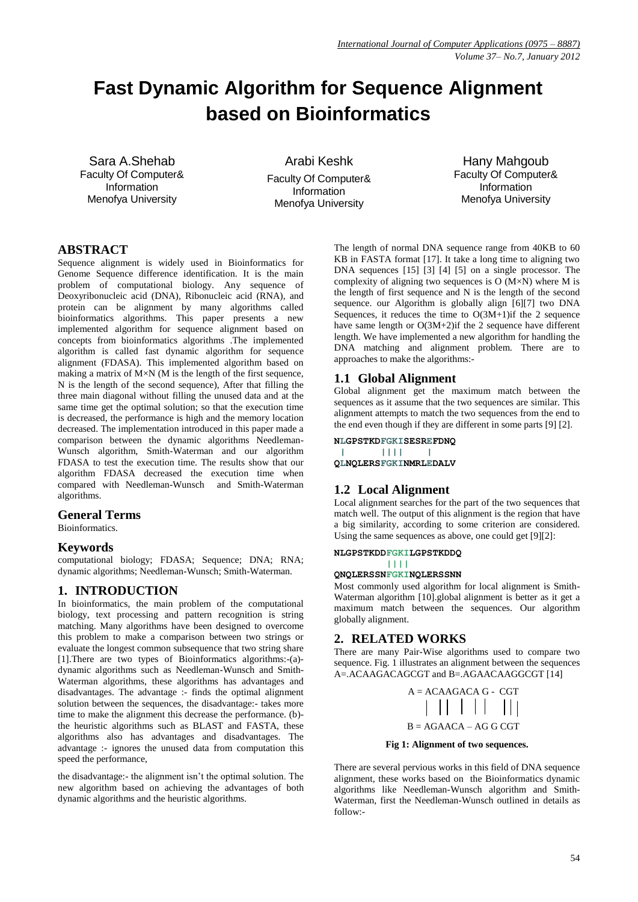# **Fast Dynamic Algorithm for Sequence Alignment based on Bioinformatics**

Sara A.Shehab Faculty Of Computer& Information Menofya University

Arabi Keshk Faculty Of Computer& Information Menofya University

Hany Mahgoub Faculty Of Computer& Information Menofya University

# **ABSTRACT**

Sequence alignment is widely used in Bioinformatics for Genome Sequence difference identification. It is the main problem of computational biology. Any sequence of Deoxyribonucleic acid (DNA), Ribonucleic acid (RNA), and protein can be alignment by many algorithms called bioinformatics algorithms. This paper presents a new implemented algorithm for sequence alignment based on concepts from bioinformatics algorithms .The implemented algorithm is called fast dynamic algorithm for sequence alignment (FDASA). This implemented algorithm based on making a matrix of  $M \times N$  (M is the length of the first sequence, N is the length of the second sequence), After that filling the three main diagonal without filling the unused data and at the same time get the optimal solution; so that the execution time is decreased, the performance is high and the memory location decreased. The implementation introduced in this paper made a comparison between the dynamic algorithms Needleman-Wunsch algorithm, Smith-Waterman and our algorithm FDASA to test the execution time. The results show that our algorithm FDASA decreased the execution time when compared with Needleman-Wunsch and Smith-Waterman algorithms.

# **General Terms**

Bioinformatics.

# **Keywords**

computational biology; FDASA; Sequence; DNA; RNA; dynamic algorithms; Needleman-Wunsch; Smith-Waterman.

# **1. INTRODUCTION**

In bioinformatics, the main problem of the computational biology, text processing and pattern recognition is string matching. Many algorithms have been designed to overcome this problem to make a comparison between two strings or evaluate the longest common subsequence that two string share [1].There are two types of Bioinformatics algorithms:-(a) dynamic algorithms such as Needleman-Wunsch and Smith-Waterman algorithms, these algorithms has advantages and disadvantages. The advantage :- finds the optimal alignment solution between the sequences, the disadvantage:- takes more time to make the alignment this decrease the performance. (b) the heuristic algorithms such as BLAST and FASTA, these algorithms also has advantages and disadvantages. The advantage :- ignores the unused data from computation this speed the performance,

the disadvantage:- the alignment isn't the optimal solution. The new algorithm based on achieving the advantages of both dynamic algorithms and the heuristic algorithms.

The length of normal DNA sequence range from 40KB to 60 KB in FASTA format [17]. It take a long time to aligning two DNA sequences [15] [3] [4] [5] on a single processor. The complexity of aligning two sequences is  $O(M\times N)$  where M is the length of first sequence and N is the length of the second sequence. our Algorithm is globally align [6][7] two DNA Sequences, it reduces the time to  $O(3M+1)$  if the 2 sequence have same length or  $O(3M+2)$  if the 2 sequence have different length. We have implemented a new algorithm for handling the DNA matching and alignment problem. There are to approaches to make the algorithms:-

# **1.1 Global Alignment**

Global alignment get the maximum match between the sequences as it assume that the two sequences are similar. This alignment attempts to match the two sequences from the end to the end even though if they are different in some parts [9] [2].

**NLGPSTKDFGKISESREFDNQ**

**| |||| | QLNQLERSFGKINMRLEDALV**

# **1.2 Local Alignment**

Local alignment searches for the part of the two sequences that match well. The output of this alignment is the region that have a big similarity, according to some criterion are considered. Using the same sequences as above, one could get [9][2]:

#### **NLGPSTKDDFGKILGPSTKDDQ**

 **||||**

# **QNQLERSSNFGKINQLERSSNN**

Most commonly used algorithm for local alignment is Smith-Waterman algorithm [10].global alignment is better as it get a maximum match between the sequences. Our algorithm globally alignment.

# **2. RELATED WORKS**

There are many Pair-Wise algorithms used to compare two sequence. Fig. 1 illustrates an alignment between the sequences A=.ACAAGACAGCGT and B=.AGAACAAGGCGT [14]

 A = ACAAGACA G - CGT B = AGAACA – AG G CGT

#### **Fig 1: Alignment of two sequences.**

There are several pervious works in this field of DNA sequence alignment, these works based on the Bioinformatics dynamic algorithms like Needleman-Wunsch algorithm and Smith-Waterman, first the Needleman-Wunsch outlined in details as follow:-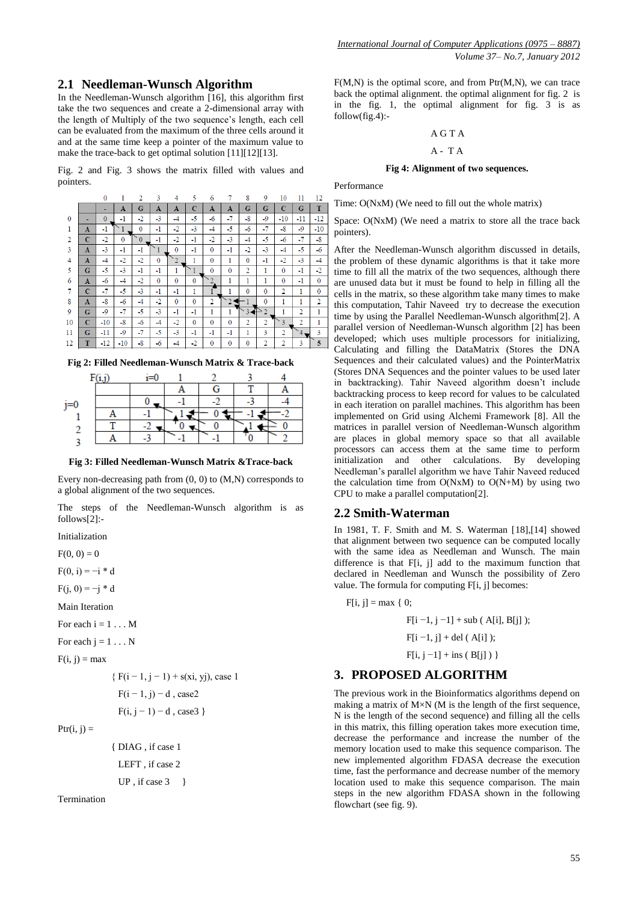## **2.1 Needleman-Wunsch Algorithm**

In the Needleman-Wunsch algorithm [16], this algorithm first take the two sequences and create a 2-dimensional array with the length of Multiply of the two sequence's length, each cell can be evaluated from the maximum of the three cells around it and at the same time keep a pointer of the maximum value to make the trace-back to get optimal solution [11][12][13].

Fig. 2 and Fig. 3 shows the matrix filled with values and pointers.

|              |                | $\mathbf{0}$ | 1        | 2        | 3            | 4            | 5            | 6            | 7              | 8              | 9              | 10             | 11             | 12             |
|--------------|----------------|--------------|----------|----------|--------------|--------------|--------------|--------------|----------------|----------------|----------------|----------------|----------------|----------------|
|              |                |              | A        | G        | A            | A            | $\mathbf C$  | A            | A              | G              | G              | $\overline{c}$ | G              | T              |
| $\mathbf{0}$ |                | $\mathbf{0}$ | $-1$     | -2       | $-3$         | $-4$         | $-5$         | $-6$         | $-7$           | -8             | $-9$           | $-10$          | $-11$          | $-12$          |
| 1            | A              | -1           |          | $\theta$ | $-1$         | $-2$         | $-3$         | $-4$         | $-5$           | -6             | -7             | $-8$           | $-9$           | $-10$          |
| 2            | $\mathbf C$    | $-2$         | $\bf{0}$ | $\Omega$ | $-1$         | $-2$         | $-1$         | -2           | $-3$           | -4             | $-5$           | $-6$           | -7             | $-8$           |
| 3            | $\mathbf{A}$   | $-3$         | $-1$     | $-1$     |              | $\mathbf{0}$ | $-1$         | $\mathbf{0}$ | $-1$           | -2             | $-3$           | $-4$           | -5             | -6             |
| 4            | $\mathbf A$    | $-4$         | $-2$     | $-2$     | $\mathbf{0}$ |              | 1            | $\mathbf{0}$ | 1              | $\mathbf{0}$   | $-1$           | $-2$           | $-3$           | $-4$           |
| 5            | G              | -5           | $-3$     | $-1$     | $-1$         | 1            |              | $\mathbf{0}$ | $\bf{0}$       | $\overline{2}$ | 1              | 0              | -1             | $-2$           |
| 6            | A              | $-6$         | $-4$     | $-2$     | $\mathbf{0}$ | 0            | $\mathbf{0}$ |              | 1              | 1              | 1              | 0              | $-1$           | $\mathbf{0}$   |
| 7            | C              | -7           | $-5$     | $-3$     | $-1$         | $-1$         | 1            |              | 1              | $\Omega$       | $\mathbf{0}$   | $\overline{2}$ | 1              | $\mathbf{0}$   |
| 8            | A              | $-8$         | -6       | $-4$     | -2           | $\mathbf{0}$ | $\mathbf{0}$ | 2            |                | 1              | $\mathbf{0}$   | 1              | 1              | $\overline{2}$ |
| 9            | G              | $-9$         | $-7$     | -5       | $-3$         | $-1$         | $-1$         | 1            | 1              | 3              | 2              | 1              | 2              | 1              |
| 10           | $\overline{c}$ | $-10$        | $-8$     | -6       | $-4$         | $-2$         | $\mathbf{0}$ | $\mathbf{0}$ | $\overline{0}$ | $\overline{2}$ | $\overline{2}$ | 3              | $\overline{2}$ | 1              |
| 11           | G              | $-11$        | $-9$     | -7       | -5           | $-3$         | -1           | -1           | -1             | 1              | 3              | $\overline{2}$ | 4,             | 3              |
| 12           | T              | $-12$        | $-10$    | -8       | $-6$         | $-4$         | -2           | $\bf{0}$     | $\mathbf{0}$   | $\bf{0}$       | $\overline{2}$ | $\overline{2}$ | 3              | 5              |
|              |                |              |          |          |              |              |              |              |                |                |                |                |                |                |

**Fig 2: Filled Needleman-Wunsch Matrix & Trace-back**

**Fig 3: Filled Needleman-Wunsch Matrix &Trace-back**

Every non-decreasing path from (0, 0) to (M,N) corresponds to a global alignment of the two sequences.

The steps of the Needleman-Wunsch algorithm is as follows[2]:-

Initialization

 $F(0, 0) = 0$ 

 $F(0, i) = -i * d$ 

 $F(i, 0) = -i * d$ 

Main Iteration

For each  $i = 1 \dots M$ 

For each  $i = 1 \dots N$ 

 $F(i, j) = max$ 

{ $F(i - 1, i - 1) + s(xi, yi)$ , case 1  $F(i - 1, j) - d$ , case2

 $F(i, i = 1) = d$  ease 3 }

$$
r(1, 1 - 1) - a
$$
, cases

 $Pr(i, j) =$ 

```
 { DIAG , if case 1
  LEFT , if case 2
 UP , if case 3 \}
```
Termination

F(M,N) is the optimal score, and from Ptr(M,N), we can trace back the optimal alignment. the optimal alignment for fig. 2 is in the fig. 1, the optimal alignment for fig. 3 is as  $follow(fig.4)$ :-

#### A G T A

## $A - T A$

#### **Fig 4: Alignment of two sequences.**

Performance

Time: O(NxM) (We need to fill out the whole matrix)

Space: O(NxM) (We need a matrix to store all the trace back pointers).

After the Needleman-Wunsch algorithm discussed in details, the problem of these dynamic algorithms is that it take more time to fill all the matrix of the two sequences, although there are unused data but it must be found to help in filling all the cells in the matrix, so these algorithm take many times to make this computation, Tahir Naveed try to decrease the execution time by using the Parallel Needleman-Wunsch algorithm[2]. A parallel version of Needleman-Wunsch algorithm [2] has been developed; which uses multiple processors for initializing, Calculating and filling the DataMatrix (Stores the DNA Sequences and their calculated values) and the PointerMatrix (Stores DNA Sequences and the pointer values to be used later in backtracking). Tahir Naveed algorithm doesn't include backtracking process to keep record for values to be calculated in each iteration on parallel machines. This algorithm has been implemented on Grid using Alchemi Framework [8]. All the matrices in parallel version of Needleman-Wunsch algorithm are places in global memory space so that all available processors can access them at the same time to perform initialization and other calculations. By developing Needleman's parallel algorithm we have Tahir Naveed reduced the calculation time from  $O(NxM)$  to  $O(N+M)$  by using two CPU to make a parallel computation[2].

#### **2.2 Smith-Waterman**

In 1981, T. F. Smith and M. S. Waterman [18],[14] showed that alignment between two sequence can be computed locally with the same idea as Needleman and Wunsch. The main difference is that F[i, j] add to the maximum function that declared in Needleman and Wunsch the possibility of Zero value. The formula for computing F[i, j] becomes:

 $F[i, j] = max \{ 0;$  $F[i -1, j -1] + sub (A[i], B[i])$ ;  $F[i -1, j] + del (A[i]);$  $F[i, j -1] + ins (B[i])$ 

## **3. PROPOSED ALGORITHM**

The previous work in the Bioinformatics algorithms depend on making a matrix of M×N (M is the length of the first sequence, N is the length of the second sequence) and filling all the cells in this matrix, this filling operation takes more execution time, decrease the performance and increase the number of the memory location used to make this sequence comparison. The new implemented algorithm FDASA decrease the execution time, fast the performance and decrease number of the memory location used to make this sequence comparison. The main steps in the new algorithm FDASA shown in the following flowchart (see fig. 9).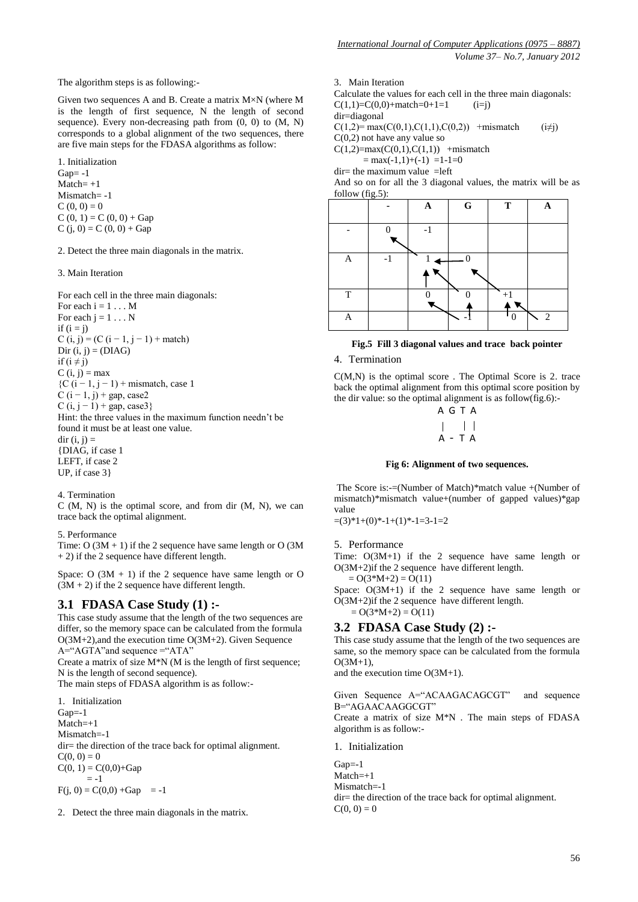Given two sequences A and B. Create a matrix M×N (where M is the length of first sequence, N the length of second sequence). Every non-decreasing path from (0, 0) to (M, N) corresponds to a global alignment of the two sequences, there are five main steps for the FDASA algorithms as follow:

1. Initialization  $Gap = -1$  $M \text{atch} = +1$ Mismatch= -1  $C(0, 0) = 0$  $C(0, 1) = C(0, 0) + Gap$  $C (j, 0) = C (0, 0) + \text{Gap}$ 

2. Detect the three main diagonals in the matrix.

3. Main Iteration

For each cell in the three main diagonals:

For each  $i = 1 \dots M$ For each  $j = 1 \dots N$ if  $(i = j)$ C (i, j) = (C (i – 1, j – 1) + match) Dir  $(i, j) = (DIAG)$ if  $(i \neq j)$  $C(i, i) = max$  ${C(i-1, j-1)}$  + mismatch, case 1  $C (i - 1, j) + gap$ , case2 C  $(i, j - 1)$  + gap, case3} Hint: the three values in the maximum function needn't be found it must be at least one value.  $dir (i, i) =$ {DIAG, if case 1 LEFT, if case 2 UP, if case 3}

4. Termination

 $C(M, N)$  is the optimal score, and from dir  $(M, N)$ , we can trace back the optimal alignment.

5. Performance

Time:  $O(3M + 1)$  if the 2 sequence have same length or  $O(3M)$  $+ 2$ ) if the 2 sequence have different length.

Space:  $O(3M + 1)$  if the 2 sequence have same length or O  $(3M + 2)$  if the 2 sequence have different length.

## **3.1 FDASA Case Study (1) :-**

This case study assume that the length of the two sequences are differ, so the memory space can be calculated from the formula  $O(3M+2)$ , and the execution time  $O(3M+2)$ . Given Sequence A="AGTA"and sequence ="ATA"

Create a matrix of size M\*N (M is the length of first sequence; N is the length of second sequence).

The main steps of FDASA algorithm is as follow:-

1. Initialization Gap=-1  $Match=+1$ Mismatch=-1 dir= the direction of the trace back for optimal alignment.  $C(0, 0) = 0$  $C(0, 1) = C(0,0) + Gap$  $= -1$  $F(j, 0) = C(0,0) + Gap$  = -1

2. Detect the three main diagonals in the matrix.

3. Main Iteration

Calculate the values for each cell in the three main diagonals:  $C(1,1)=C(0,0)+\text{match}=0+1=1$  (i=j) dir=diagonal  $C(1,2)= max(C(0,1), C(1,1), C(0,2))$  +mismatch (i≠j) C(0,2) not have any value so  $C(1,2)=max(C(0,1),C(1,1))$  +mismatch  $=$  max(-1,1)+(-1) =1-1=0  $dir =$  the maximum value  $=$  left

And so on for all the 3 diagonal values, the matrix will be as follow (fig.5):



#### **Fig.5 Fill 3 diagonal values and trace back pointer**

4. Termination

C(M,N) is the optimal score . The Optimal Score is 2. trace back the optimal alignment from this optimal score position by the dir value: so the optimal alignment is as follow(fig.6):-

$$
\begin{array}{c|cc}\nA & G & T & A \\
\mid & & \mid & \mid \\
A & - & T & A\n\end{array}
$$

#### **Fig 6: Alignment of two sequences.**

The Score is:-=(Number of Match)\*match value +(Number of mismatch)\*mismatch value+(number of gapped values)\*gap value

 $=(3)*1+(0)*-1+(1)*-1=3-1=2$ 

#### 5. Performance

Time: O(3M+1) if the 2 sequence have same length or O(3M+2)if the 2 sequence have different length.

 $= O(3*M+2) = O(11)$ Space:  $O(3M+1)$  if the 2 sequence have same length or O(3M+2)if the 2 sequence have different length.

 $= O(3*M+2) = O(11)$ 

**3.2 FDASA Case Study (2) :-** This case study assume that the length of the two sequences are

same, so the memory space can be calculated from the formula  $O(3M+1)$ ,

and the execution time O(3M+1).

Given Sequence A="ACAAGACAGCGT" and sequence B="AGAACAAGGCGT"

Create a matrix of size M\*N . The main steps of FDASA algorithm is as follow:-

1. Initialization

 $Gap=-1$ Match=+1 Mismatch=-1 dir= the direction of the trace back for optimal alignment.  $C(0, 0) = 0$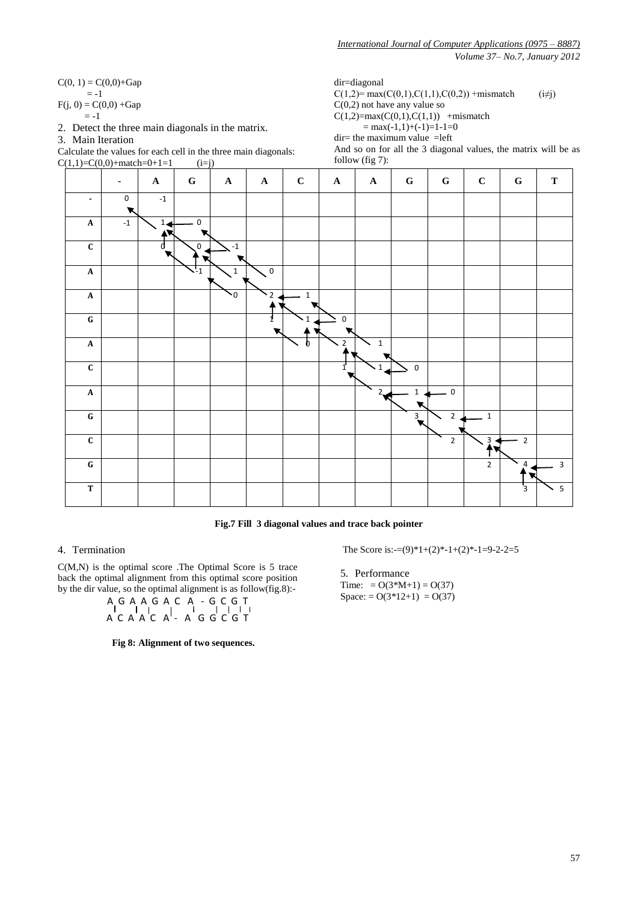$C(0, 1) = C(0,0) + Gap$  $=-1$  $F(i, 0) = C(0,0) + Gap$ 

 $=-1$ 

2. Detect the three main diagonals in the matrix.

3. Main Iteration

Calculate the values for each cell in the three main diagonals:  $C(1,1)=C(0,0)+\text{match}=0+1=1$  (i=j)

dir=diagonal

 $C(1,2)= max(C(0,1), C(1,1), C(0,2)) + minmatch$  (i $\neq j$ )  $C(0,2)$  not have any value so  $C(1,2)=max(C(0,1),C(1,1))$  +mismatch  $=$  max(-1,1)+(-1)=1-1=0

 $dir =$  the maximum value  $=$ left

And so on for all the 3 diagonal values, the matrix will be as follow (fig 7):



**Fig.7 Fill 3 diagonal values and trace back pointer**

## 4. Termination

C(M,N) is the optimal score .The Optimal Score is 5 trace back the optimal alignment from this optimal score position by the dir value, so the optimal alignment is as follow(fig.8):-

A G A A G A C A - G C G T A C A A C A - A G G C G T

**Fig 8: Alignment of two sequences.**

The Score is: $=(9)^*1+(2)^*-1+(2)^*-1=9-2-2=5$ 

5. Performance Time: =  $O(3*M+1) = O(37)$ Space: =  $O(3*12+1) = O(37)$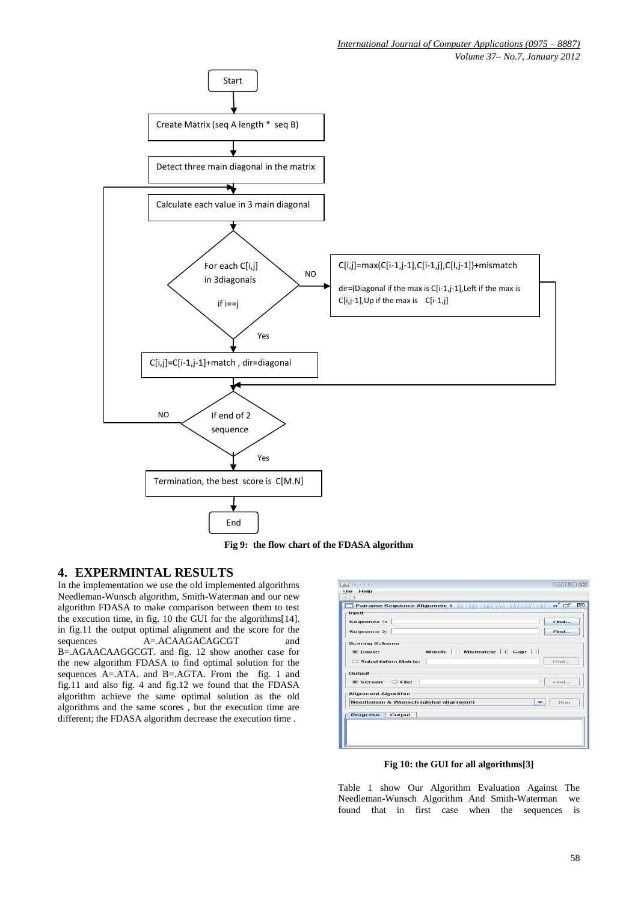





# **4. EXPERMINTAL RESULTS**

In the implementation we use the old implemented algorithms Needleman-Wunsch algorithm, Smith-Waterman and our new algorithm FDASA to make comparison between them to test the execution time, in fig. 10 the GUI for the algorithms[14]. in fig.11 the output optimal alignment and the score for the sequences  $A = ACAAGACAGCGT$  and B=.AGAACAAGGCGT. and fig. 12 show another case for the new algorithm FDASA to find optimal solution for the sequences A=.ATA. and B=.AGTA. From the fig. 1 and fig.11 and also fig. 4 and fig.12 we found that the FDASA algorithm achieve the same optimal solution as the old algorithms and the same scores , but the execution time are different; the FDASA algorithm decrease the execution time .

| A NeoBio                                    | $\boxed{ \bigcirc } \boxed{ \bigcirc } \boxed{ \bigcirc } \boxed{ \bigcirc } \boxed{ \bigcirc }$ |  |  |  |  |  |  |  |
|---------------------------------------------|--------------------------------------------------------------------------------------------------|--|--|--|--|--|--|--|
| File<br>Help<br>1221                        |                                                                                                  |  |  |  |  |  |  |  |
|                                             | ಕ್ ದ್                                                                                            |  |  |  |  |  |  |  |
| Pairwise Sequence Alignment 1               | ⊠                                                                                                |  |  |  |  |  |  |  |
| Input                                       |                                                                                                  |  |  |  |  |  |  |  |
| Sequence 1:                                 | Find                                                                                             |  |  |  |  |  |  |  |
| <b>Sequence 2:</b>                          | Find                                                                                             |  |  |  |  |  |  |  |
| <b>Scoring Scheme</b>                       |                                                                                                  |  |  |  |  |  |  |  |
| Match: 1 Mismatch: -1 Gap: -1<br>$•$ Basic: |                                                                                                  |  |  |  |  |  |  |  |
| Substitution Matrix:                        | Find                                                                                             |  |  |  |  |  |  |  |
| Output                                      |                                                                                                  |  |  |  |  |  |  |  |
| $\circledcirc$ Screen $\circledcirc$ File:  | Find                                                                                             |  |  |  |  |  |  |  |
| <b>Alignment Algorithm</b>                  |                                                                                                  |  |  |  |  |  |  |  |
| Needleman & Wunsch (global alignment)<br>٠  | <b>Run</b>                                                                                       |  |  |  |  |  |  |  |
| Output<br><b>Progress</b>                   |                                                                                                  |  |  |  |  |  |  |  |
|                                             |                                                                                                  |  |  |  |  |  |  |  |
|                                             |                                                                                                  |  |  |  |  |  |  |  |

**Fig 10: the GUI for all algorithms[3]**

Table 1 show Our Algorithm Evaluation Against The Needleman-Wunsch Algorithm And Smith-Waterman we found that in first case when the sequences is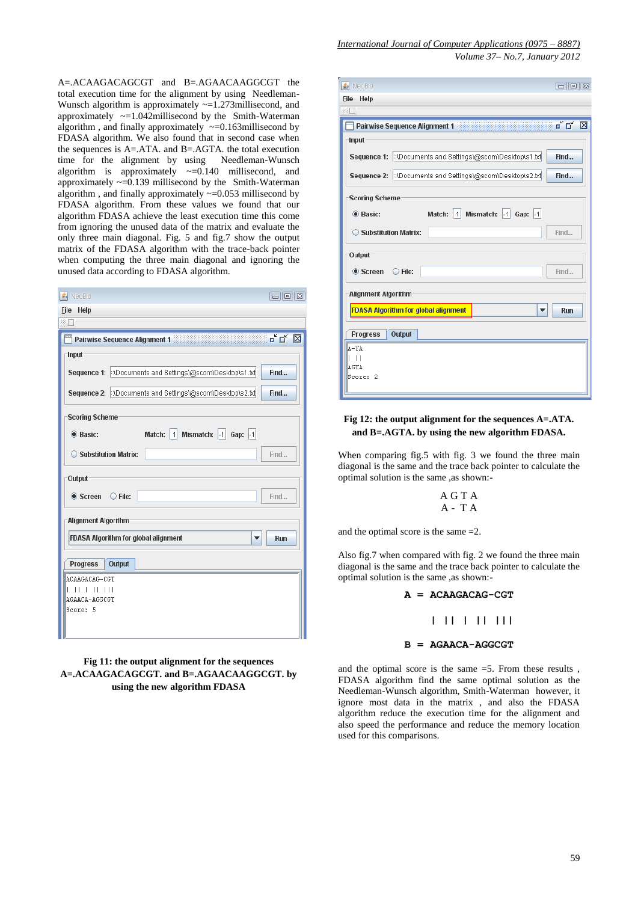A=.ACAAGACAGCGT and B=.AGAACAAGGCGT the total execution time for the alignment by using Needleman-Wunsch algorithm is approximately  $\sim=1.273$ millisecond, and approximately  $\sim$ =1.042millisecond by the Smith-Waterman algorithm , and finally approximately  $\sim=0.163$ millisecond by FDASA algorithm. We also found that in second case when the sequences is A=.ATA. and B=.AGTA. the total execution time for the alignment by using Needleman-Wunsch algorithm is approximately  $\sim=0.140$  millisecond, and approximately  $\sim=0.139$  millisecond by the Smith-Waterman algorithm , and finally approximately ~=0.053 millisecond by FDASA algorithm. From these values we found that our algorithm FDASA achieve the least execution time this come from ignoring the unused data of the matrix and evaluate the only three main diagonal. Fig. 5 and fig.7 show the output matrix of the FDASA algorithm with the trace-back pointer when computing the three main diagonal and ignoring the unused data according to FDASA algorithm.

| <b>≰</b> NeoBio                |                                                            | $\Box \Box \Box$               |
|--------------------------------|------------------------------------------------------------|--------------------------------|
| Help<br><b>File</b>            |                                                            |                                |
| 第口                             |                                                            |                                |
|                                | <b>Pairwise Sequence Alignment 1</b>                       | $\mathbf{u}^{\mathbf{K}}$<br>冈 |
| Input                          |                                                            |                                |
|                                | Sequence 1: 1: Documents and Settings\@scom\Desktop\s1.txt | Find                           |
|                                | Sequence 2: 100 cuments and Settings\@scom\Desktop\s2.txt  | Find                           |
| <b>Scoring Scheme</b>          |                                                            |                                |
| C Basic:                       | Match: 1 Mismatch: -1 Gap: -1                              |                                |
| ◯ Substitution Matrix:         |                                                            | Find                           |
| Output                         |                                                            |                                |
| $\bullet$ Screen $\circ$ File: |                                                            | Find                           |
| <b>Alignment Algorithm</b>     |                                                            |                                |
|                                | <b>FDASA Algorithm for global alignment</b><br>▼           | Run                            |
| Progress                       | Output                                                     |                                |
| ACAAGACAG-CGT                  |                                                            |                                |
| $   $ $   $ $   $ $   $<br>L   |                                                            |                                |
| AGAACA-AGGCGT<br>Score: 5      |                                                            |                                |
|                                |                                                            |                                |
|                                |                                                            |                                |
|                                |                                                            |                                |

## **Fig 11: the output alignment for the sequences A=.ACAAGACAGCGT. and B=.AGAACAAGGCGT. by using the new algorithm FDASA**

| <b>名</b> NeoBio                                             | $\Box$                         |  |  |  |  |  |  |
|-------------------------------------------------------------|--------------------------------|--|--|--|--|--|--|
| <b>File</b><br>Help                                         |                                |  |  |  |  |  |  |
|                                                             |                                |  |  |  |  |  |  |
| Pairwise Sequence Alignment 1                               | $\mathbf{u}^{\mathbf{K}}$<br>冈 |  |  |  |  |  |  |
| Input                                                       |                                |  |  |  |  |  |  |
| Sequence 1: 000cuments and Settings\@scom\Desktop\s1.txt    | Find                           |  |  |  |  |  |  |
| Sequence 2: 000 Documents and Settings\@scom\Desktop\s2.txt | Find                           |  |  |  |  |  |  |
| <b>Scoring Scheme</b>                                       |                                |  |  |  |  |  |  |
| 1   Mismatch: $ -1 $ Gap: $ -1 $<br>C Basic:<br>Match:      |                                |  |  |  |  |  |  |
| Substitution Matrix:                                        | Find                           |  |  |  |  |  |  |
| Output                                                      |                                |  |  |  |  |  |  |
| $\bullet$ Screen $\circ$ File:                              | Find                           |  |  |  |  |  |  |
| <b>Alignment Algorithm</b>                                  |                                |  |  |  |  |  |  |
| <b>FDASA Algorithm for global alignment</b>                 | Run                            |  |  |  |  |  |  |
| Output<br><b>Progress</b>                                   |                                |  |  |  |  |  |  |
| A-TA                                                        |                                |  |  |  |  |  |  |
| $\Box$<br>AGTA                                              |                                |  |  |  |  |  |  |
| Score: 2                                                    |                                |  |  |  |  |  |  |

## **Fig 12: the output alignment for the sequences A=.ATA. and B=.AGTA. by using the new algorithm FDASA.**

When comparing fig.5 with fig. 3 we found the three main diagonal is the same and the trace back pointer to calculate the optimal solution is the same ,as shown:-

$$
\begin{array}{c}\nA G T A \\
A - T A\n\end{array}
$$

and the optimal score is the same =2.

Also fig.7 when compared with fig. 2 we found the three main diagonal is the same and the trace back pointer to calculate the optimal solution is the same ,as shown:-

```
A = ACAAGACAG-CGT
```

```
 | || | || |||
```

```
B = AGAACA-AGGCGT
```
and the optimal score is the same =5. From these results , FDASA algorithm find the same optimal solution as the Needleman-Wunsch algorithm, Smith-Waterman however, it ignore most data in the matrix , and also the FDASA algorithm reduce the execution time for the alignment and also speed the performance and reduce the memory location used for this comparisons.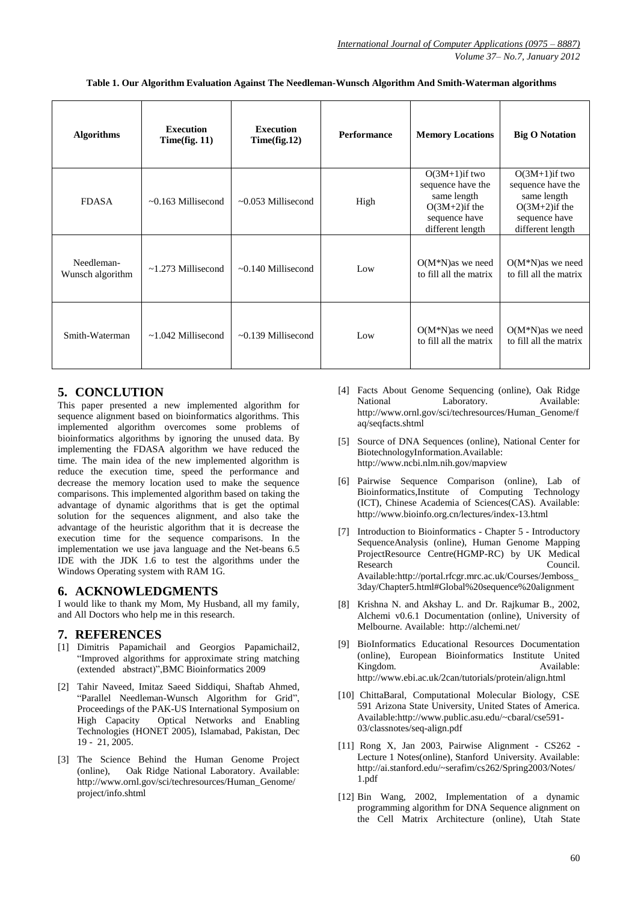| <b>Algorithms</b>              | <b>Execution</b><br>Time(fig. 11) | <b>Execution</b><br>Time(fig.12) | <b>Performance</b> | <b>Memory Locations</b>                                                                                       | <b>Big O Notation</b>                                                                                         |  |
|--------------------------------|-----------------------------------|----------------------------------|--------------------|---------------------------------------------------------------------------------------------------------------|---------------------------------------------------------------------------------------------------------------|--|
| <b>FDASA</b>                   | $\sim 0.163$ Millisecond          | $\sim 0.053$ Millisecond         | High               | $O(3M+1)$ if two<br>sequence have the<br>same length<br>$O(3M+2)$ if the<br>sequence have<br>different length | $O(3M+1)$ if two<br>sequence have the<br>same length<br>$O(3M+2)$ if the<br>sequence have<br>different length |  |
| Needleman-<br>Wunsch algorithm | $\sim$ 1.273 Millisecond          | $\sim 0.140$ Millisecond         | Low                | $O(M*N)$ as we need<br>to fill all the matrix                                                                 | $O(M*N)$ as we need<br>to fill all the matrix                                                                 |  |
| Smith-Waterman                 | $\sim$ 1.042 Millisecond          | $\sim 0.139$ Millisecond         | Low                | $O(M*N)$ as we need<br>to fill all the matrix                                                                 | $O(M*N)$ as we need<br>to fill all the matrix                                                                 |  |

**Table 1. Our Algorithm Evaluation Against The Needleman-Wunsch Algorithm And Smith-Waterman algorithms**

# **5. CONCLUTION**

This paper presented a new implemented algorithm for sequence alignment based on bioinformatics algorithms. This implemented algorithm overcomes some problems of bioinformatics algorithms by ignoring the unused data. By implementing the FDASA algorithm we have reduced the time. The main idea of the new implemented algorithm is reduce the execution time, speed the performance and decrease the memory location used to make the sequence comparisons. This implemented algorithm based on taking the advantage of dynamic algorithms that is get the optimal solution for the sequences alignment, and also take the advantage of the heuristic algorithm that it is decrease the execution time for the sequence comparisons. In the implementation we use java language and the Net-beans 6.5 IDE with the JDK 1.6 to test the algorithms under the Windows Operating system with RAM 1G.

# **6. ACKNOWLEDGMENTS**

I would like to thank my Mom, My Husband, all my family, and All Doctors who help me in this research.

# **7. REFERENCES**

- [1] Dimitris Papamichail and Georgios Papamichail2, "Improved algorithms for approximate string matching (extended abstract)",BMC Bioinformatics 2009
- [2] Tahir Naveed, Imitaz Saeed Siddiqui, Shaftab Ahmed, ["Parallel Needleman-Wunsch Algorithm for Grid"](http://www.cloudbus.org/~alchemi/files/Parallel%20Needleman%20Algo.pdf), Proceedings of the PAK-US International Symposium on High Capacity Optical Networks and Enabling Technologies (HONET 2005), Islamabad, Pakistan, Dec 19 - 21, 2005.
- [3] The Science Behind the Human Genome Project (online), Oak Ridge National Laboratory. Available: http://www.ornl.gov/sci/techresources/Human\_Genome/ project/info.shtml
- [4] Facts About Genome Sequencing (online), Oak Ridge National Laboratory. Available: http://www.ornl.gov/sci/techresources/Human\_Genome/f aq/seqfacts.shtml
- [5] Source of DNA Sequences (online), National Center for BiotechnologyInformation.Available: http://www.ncbi.nlm.nih.gov/mapview
- [6] Pairwise Sequence Comparison (online), Lab of Bioinformatics,Institute of Computing Technology (ICT), Chinese Academia of Sciences(CAS). Available: http://www.bioinfo.org.cn/lectures/index-13.html
- [7] Introduction to Bioinformatics Chapter 5 Introductory SequenceAnalysis (online), Human Genome Mapping ProjectResource Centre(HGMP-RC) by UK Medical Research Council. Available:http://portal.rfcgr.mrc.ac.uk/Courses/Jemboss\_ 3day/Chapter5.html#Global%20sequence%20alignment
- [8] Krishna N. and Akshay L. and Dr. Rajkumar B., 2002, Alchemi v0.6.1 Documentation (online), University of Melbourne. Available: http://alchemi.net/
- [9] BioInformatics Educational Resources Documentation (online), European Bioinformatics Institute United Kingdom. Available: http://www.ebi.ac.uk/2can/tutorials/protein/align.html
- [10] ChittaBaral, Computational Molecular Biology, CSE 591 Arizona State University, United States of America. Available:http://www.public.asu.edu/~cbaral/cse591- 03/classnotes/seq-align.pdf
- [11] Rong X, Jan 2003, Pairwise Alignment CS262 Lecture 1 Notes(online), Stanford University. Available: http://ai.stanford.edu/~serafim/cs262/Spring2003/Notes/ 1.pdf
- [12] Bin Wang, 2002, Implementation of a dynamic programming algorithm for DNA Sequence alignment on the Cell Matrix Architecture (online), Utah State